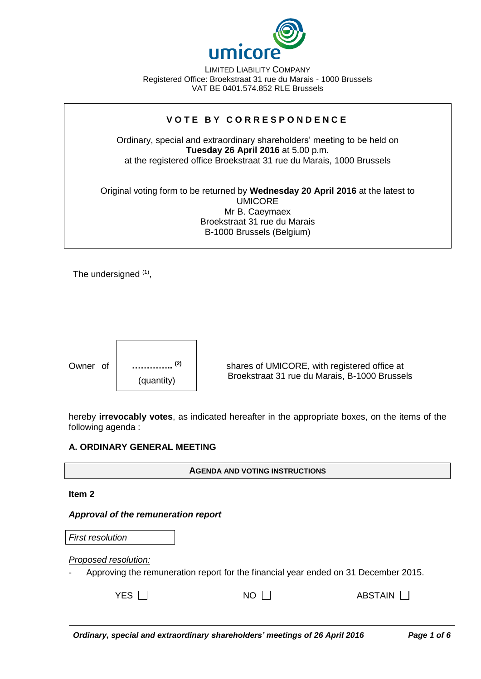

LIMITED LIABILITY COMPANY Registered Office: Broekstraat 31 rue du Marais - 1000 Brussels VAT BE 0401.574.852 RLE Brussels

# **V O T E B Y C O R R E S P O N D E N C E**

Ordinary, special and extraordinary shareholders' meeting to be held on **Tuesday 26 April 2016** at 5.00 p.m. at the registered office Broekstraat 31 rue du Marais, 1000 Brussels

Original voting form to be returned by **Wednesday 20 April 2016** at the latest to UMICORE Mr B. Caeymaex Broekstraat 31 rue du Marais B-1000 Brussels (Belgium)

The undersigned <sup>(1)</sup>,



Owner of  $\vert$  ...............<sup>(2)</sup>  $\vert$  shares of UMICORE, with registered office at Broekstraat 31 rue du Marais, B-1000 Brussels

hereby **irrevocably votes**, as indicated hereafter in the appropriate boxes, on the items of the following agenda :

### **A. ORDINARY GENERAL MEETING**

**AGENDA AND VOTING INSTRUCTIONS**

**Item 2**

*Approval of the remuneration report*

| <b>First resolution</b>                                                                                     |      |           |  |  |
|-------------------------------------------------------------------------------------------------------------|------|-----------|--|--|
| Proposed resolution:<br>Approving the remuneration report for the financial year ended on 31 December 2015. |      |           |  |  |
| YES $\Box$                                                                                                  | NO I | ABSTAIN I |  |  |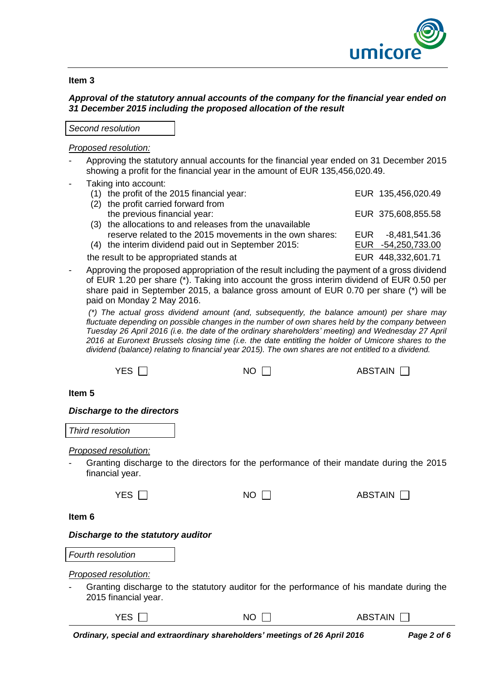

### **Item 3**

# *Approval of the statutory annual accounts of the company for the financial year ended on 31 December 2015 including the proposed allocation of the result*

### *Second resolution*

## *Proposed resolution:*

- Approving the statutory annual accounts for the financial year ended on 31 December 2015 showing a profit for the financial year in the amount of EUR 135,456,020.49.
- Taking into account:
	- (1) the profit of the 2015 financial year: EUR 135,456,020.49 (2) the profit carried forward from the previous financial year: EUR 375,608,855.58 (3) the allocations to and releases from the unavailable reserve related to the 2015 movements in the own shares: EUR -8,481,541.36 (4) the interim dividend paid out in September 2015: EUR -54,250,733.00 the result to be appropriated stands at EUR 448,332,601.71
- Approving the proposed appropriation of the result including the payment of a gross dividend of EUR 1.20 per share (\*). Taking into account the gross interim dividend of EUR 0.50 per share paid in September 2015, a balance gross amount of EUR 0.70 per share (\*) will be paid on Monday 2 May 2016.

*(\*) The actual gross dividend amount (and, subsequently, the balance amount) per share may fluctuate depending on possible changes in the number of own shares held by the company between Tuesday 26 April 2016 (i.e. the date of the ordinary shareholders' meeting) and Wednesday 27 April 2016 at Euronext Brussels closing time (i.e. the date entitling the holder of Umicore shares to the dividend (balance) relating to financial year 2015). The own shares are not entitled to a dividend.*

| <b>YES</b>                                                                             | NO.         | <b>ABSTAIN</b>                                                                            |  |
|----------------------------------------------------------------------------------------|-------------|-------------------------------------------------------------------------------------------|--|
| Item <sub>5</sub>                                                                      |             |                                                                                           |  |
| <b>Discharge to the directors</b>                                                      |             |                                                                                           |  |
| Third resolution                                                                       |             |                                                                                           |  |
| <b>Proposed resolution:</b><br>financial year.                                         |             | Granting discharge to the directors for the performance of their mandate during the 2015  |  |
| YES $\Box$                                                                             | NO.         | <b>ABSTAIN</b>                                                                            |  |
| Item 6                                                                                 |             |                                                                                           |  |
| Discharge to the statutory auditor                                                     |             |                                                                                           |  |
| Fourth resolution                                                                      |             |                                                                                           |  |
| Proposed resolution:<br>2015 financial year.                                           |             | Granting discharge to the statutory auditor for the performance of his mandate during the |  |
| YES $\Gamma$                                                                           | $NO$ $\Box$ | <b>ABSTAIN</b>                                                                            |  |
| ويتماركه والمستري والمستقل والمستور والمستور والمستنقب والمسترين والمائم<br><b>D</b> - |             |                                                                                           |  |

*Ordinary, special and extraordinary shareholders' meetings of 26 April 2016 Page 2 of 6*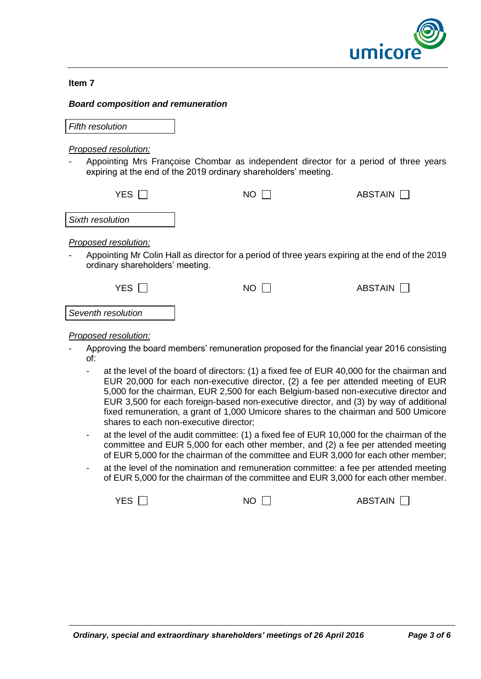

### **Item 7**

### *Board composition and remuneration*

*Fifth resolution*

## *Proposed resolution:*

Appointing Mrs Françoise Chombar as independent director for a period of three years expiring at the end of the 2019 ordinary shareholders' meeting.

| YES.                                                         | NO. | ABSTAIN                                                                                          |
|--------------------------------------------------------------|-----|--------------------------------------------------------------------------------------------------|
| Sixth resolution                                             |     |                                                                                                  |
| Proposed resolution:<br>-<br>ordinary shareholders' meeting. |     | Appointing Mr Colin Hall as director for a period of three years expiring at the end of the 2019 |
| YFS.                                                         | NO. | ABSTAIN                                                                                          |

*Seventh resolution*

# *Proposed resolution:*

- Approving the board members' remuneration proposed for the financial year 2016 consisting of:
	- at the level of the board of directors: (1) a fixed fee of EUR 40,000 for the chairman and EUR 20,000 for each non-executive director, (2) a fee per attended meeting of EUR 5,000 for the chairman, EUR 2,500 for each Belgium-based non-executive director and EUR 3,500 for each foreign-based non-executive director, and (3) by way of additional fixed remuneration, a grant of 1,000 Umicore shares to the chairman and 500 Umicore shares to each non-executive director;
	- at the level of the audit committee: (1) a fixed fee of EUR 10,000 for the chairman of the committee and EUR 5,000 for each other member, and (2) a fee per attended meeting of EUR 5,000 for the chairman of the committee and EUR 3,000 for each other member;
	- at the level of the nomination and remuneration committee: a fee per attended meeting of EUR 5,000 for the chairman of the committee and EUR 3,000 for each other member.

 $YES \ \Box$   $NO \ \Box$  ABSTAIN  $\Box$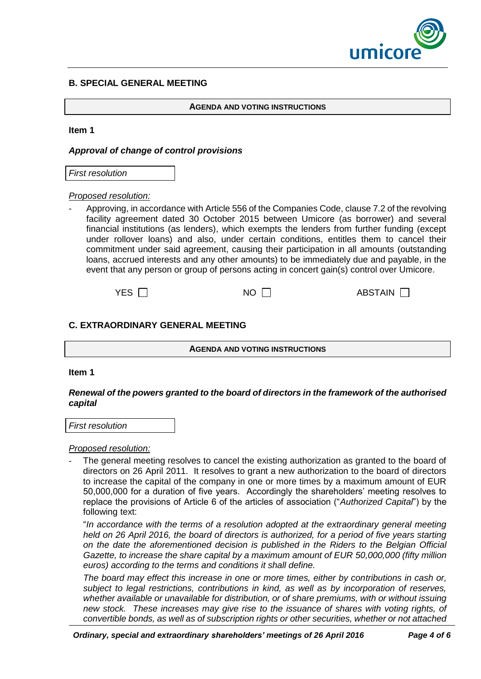

## **B. SPECIAL GENERAL MEETING**

#### **AGENDA AND VOTING INSTRUCTIONS**

#### **Item 1**

## *Approval of change of control provisions*

*First resolution*

#### *Proposed resolution:*

- Approving, in accordance with Article 556 of the Companies Code, clause 7.2 of the revolving facility agreement dated 30 October 2015 between Umicore (as borrower) and several financial institutions (as lenders), which exempts the lenders from further funding (except under rollover loans) and also, under certain conditions, entitles them to cancel their commitment under said agreement, causing their participation in all amounts (outstanding loans, accrued interests and any other amounts) to be immediately due and payable, in the event that any person or group of persons acting in concert gain(s) control over Umicore.

| ABSTAIN [<br>$NO \Gamma$ |
|--------------------------|
|                          |

### **C. EXTRAORDINARY GENERAL MEETING**

**AGENDA AND VOTING INSTRUCTIONS**

#### **Item 1**

### *Renewal of the powers granted to the board of directors in the framework of the authorised capital*

*First resolution*

### *Proposed resolution:*

The general meeting resolves to cancel the existing authorization as granted to the board of directors on 26 April 2011. It resolves to grant a new authorization to the board of directors to increase the capital of the company in one or more times by a maximum amount of EUR 50,000,000 for a duration of five years. Accordingly the shareholders' meeting resolves to replace the provisions of Article 6 of the articles of association ("*Authorized Capital*") by the following text:

"*In accordance with the terms of a resolution adopted at the extraordinary general meeting held on 26 April 2016, the board of directors is authorized, for a period of five years starting on the date the aforementioned decision is published in the Riders to the Belgian Official Gazette, to increase the share capital by a maximum amount of EUR 50,000,000 (fifty million euros) according to the terms and conditions it shall define.*

*The board may effect this increase in one or more times, either by contributions in cash or, subject to legal restrictions, contributions in kind, as well as by incorporation of reserves, whether available or unavailable for distribution, or of share premiums, with or without issuing new stock. These increases may give rise to the issuance of shares with voting rights, of convertible bonds, as well as of subscription rights or other securities, whether or not attached*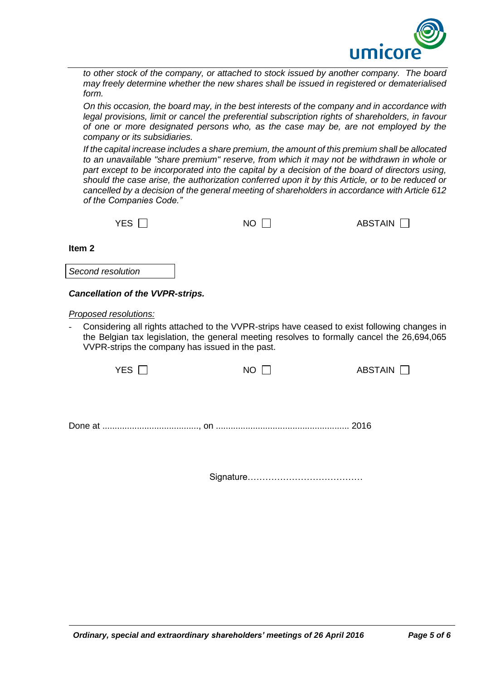

*to other stock of the company, or attached to stock issued by another company. The board may freely determine whether the new shares shall be issued in registered or dematerialised form.* 

*On this occasion, the board may, in the best interests of the company and in accordance with legal provisions, limit or cancel the preferential subscription rights of shareholders, in favour of one or more designated persons who, as the case may be, are not employed by the company or its subsidiaries.*

*If the capital increase includes a share premium, the amount of this premium shall be allocated to an unavailable "share premium" reserve, from which it may not be withdrawn in whole or part except to be incorporated into the capital by a decision of the board of directors using, should the case arise, the authorization conferred upon it by this Article, or to be reduced or cancelled by a decision of the general meeting of shareholders in accordance with Article 612 of the Companies Code."*

**Item 2**

*Second resolution*

# *Cancellation of the VVPR-strips.*

*Proposed resolutions:* 

Considering all rights attached to the VVPR-strips have ceased to exist following changes in the Belgian tax legislation, the general meeting resolves to formally cancel the 26,694,065 VVPR-strips the company has issued in the past.

Done at ......................................., on ...................................................... 2016

Signature…………………………………